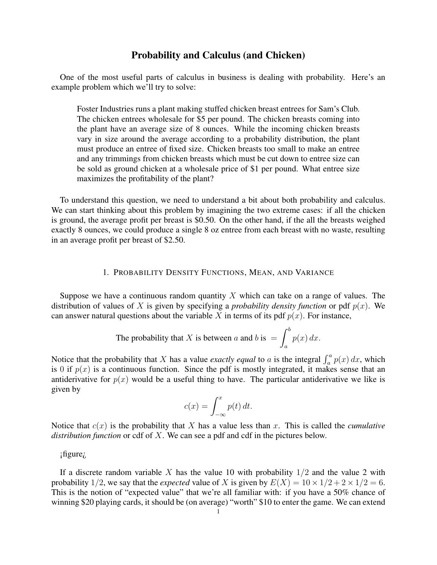## Probability and Calculus (and Chicken)

One of the most useful parts of calculus in business is dealing with probability. Here's an example problem which we'll try to solve:

Foster Industries runs a plant making stuffed chicken breast entrees for Sam's Club. The chicken entrees wholesale for \$5 per pound. The chicken breasts coming into the plant have an average size of 8 ounces. While the incoming chicken breasts vary in size around the average according to a probability distribution, the plant must produce an entree of fixed size. Chicken breasts too small to make an entree and any trimmings from chicken breasts which must be cut down to entree size can be sold as ground chicken at a wholesale price of \$1 per pound. What entree size maximizes the profitability of the plant?

To understand this question, we need to understand a bit about both probability and calculus. We can start thinking about this problem by imagining the two extreme cases: if all the chicken is ground, the average profit per breast is \$0.50. On the other hand, if the all the breasts weighed exactly 8 ounces, we could produce a single 8 oz entree from each breast with no waste, resulting in an average profit per breast of \$2.50.

## 1. PROBABILITY DENSITY FUNCTIONS, MEAN, AND VARIANCE

Suppose we have a continuous random quantity  $X$  which can take on a range of values. The distribution of values of X is given by specifying a *probability density function* or pdf  $p(x)$ . We can answer natural questions about the variable X in terms of its pdf  $p(x)$ . For instance,

The probability that X is between a and b is 
$$
=\int_a^b p(x) dx
$$
.

Notice that the probability that X has a value *exactly equal* to a is the integral  $\int_a^a p(x) dx$ , which is 0 if  $p(x)$  is a continuous function. Since the pdf is mostly integrated, it makes sense that an antiderivative for  $p(x)$  would be a useful thing to have. The particular antiderivative we like is given by

$$
c(x) = \int_{-\infty}^{x} p(t) dt.
$$

Notice that  $c(x)$  is the probability that X has a value less than x. This is called the *cumulative distribution function* or cdf of X. We can see a pdf and cdf in the pictures below.

¡figure¿

If a discrete random variable X has the value 10 with probability  $1/2$  and the value 2 with probability 1/2, we say that the *expected* value of X is given by  $E(X) = 10 \times 1/2 + 2 \times 1/2 = 6$ . This is the notion of "expected value" that we're all familiar with: if you have a 50% chance of winning \$20 playing cards, it should be (on average) "worth" \$10 to enter the game. We can extend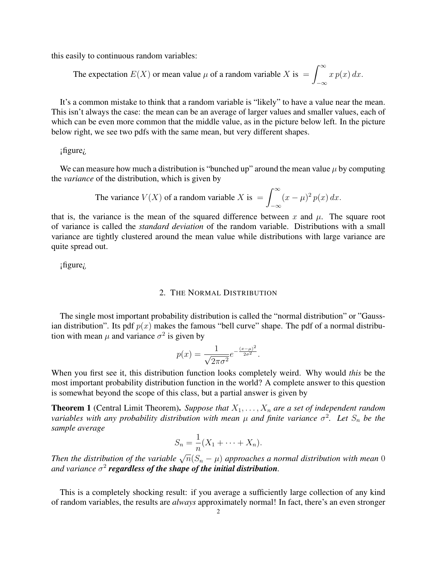this easily to continuous random variables:

The expectation 
$$
E(X)
$$
 or mean value  $\mu$  of a random variable X is  $=\int_{-\infty}^{\infty} x p(x) dx$ .

It's a common mistake to think that a random variable is "likely" to have a value near the mean. This isn't always the case: the mean can be an average of larger values and smaller values, each of which can be even more common that the middle value, as in the picture below left. In the picture below right, we see two pdfs with the same mean, but very different shapes.

¡figure¿

We can measure how much a distribution is "bunched up" around the mean value  $\mu$  by computing the *variance* of the distribution, which is given by

The variance 
$$
V(X)
$$
 of a random variable X is  $=\int_{-\infty}^{\infty} (x - \mu)^2 p(x) dx$ .

that is, the variance is the mean of the squared difference between x and  $\mu$ . The square root of variance is called the *standard deviation* of the random variable. Distributions with a small variance are tightly clustered around the mean value while distributions with large variance are quite spread out.

¡figure¿

## 2. THE NORMAL DISTRIBUTION

The single most important probability distribution is called the "normal distribution" or "Gaussian distribution". Its pdf  $p(x)$  makes the famous "bell curve" shape. The pdf of a normal distribution with mean  $\mu$  and variance  $\sigma^2$  is given by

$$
p(x) = \frac{1}{\sqrt{2\pi\sigma^2}} e^{-\frac{(x-\mu)^2}{2\sigma^2}}.
$$

When you first see it, this distribution function looks completely weird. Why would *this* be the most important probability distribution function in the world? A complete answer to this question is somewhat beyond the scope of this class, but a partial answer is given by

**Theorem 1** (Central Limit Theorem). Suppose that  $X_1, \ldots, X_n$  are a set of independent random *variables with any probability distribution with mean*  $\mu$  *and finite variance*  $\sigma^2$ . Let  $S_n$  be the *sample average*

$$
S_n = \frac{1}{n}(X_1 + \dots + X_n).
$$

*n*  $n$   $n$   $\{1, 1, \ldots, n\}$ .<br>Then the distribution of the variable  $\sqrt{n}(S_n - \mu)$  approaches a normal distribution with mean 0 and variance  $\sigma^2$  **regardless of the shape of the initial distribution**.

This is a completely shocking result: if you average a sufficiently large collection of any kind of random variables, the results are *always* approximately normal! In fact, there's an even stronger